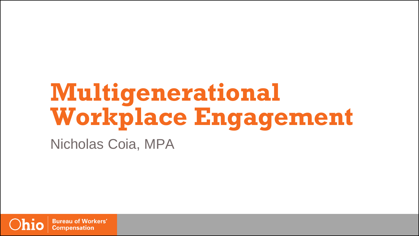### **Multigenerational Workplace Engagement** Nicholas Coia, MPA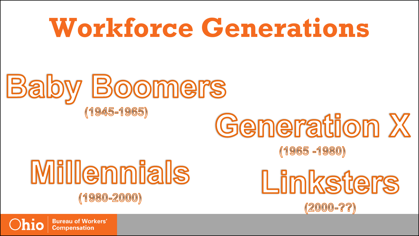## **Workforce Generations**



# **Generation X**

 $(1965 - 1980)$ 

### **Millennials**  $(1980 - 2000)$

Linksters  $(2000 - ? ?)$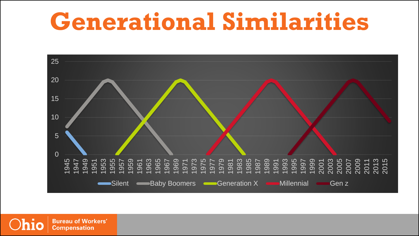### **Generational Similarities**

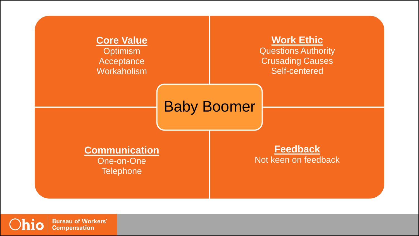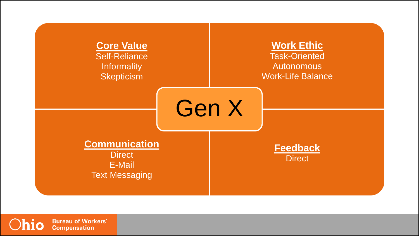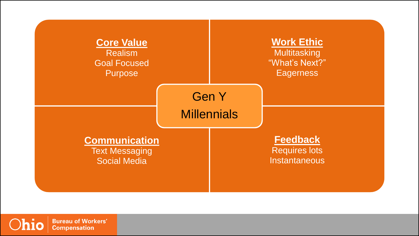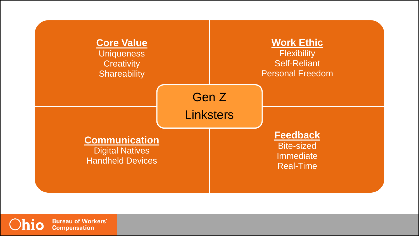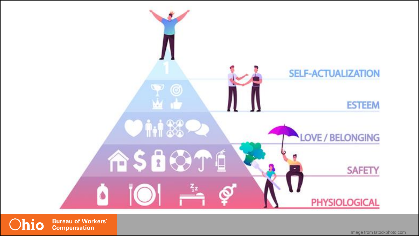

Image from Istockphoto.com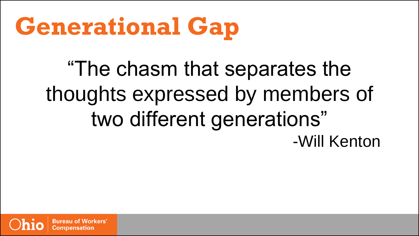## **Generational Gap**

"The chasm that separates the thoughts expressed by members of two different generations" -Will Kenton

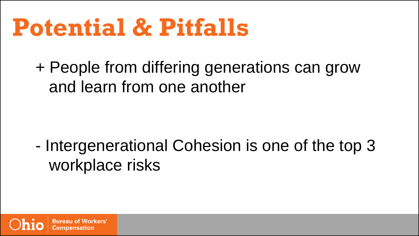### **Potential & Pitfalls**

+ People from differing generations can grow and learn from one another

- Intergenerational Cohesion is one of the top 3 workplace risks

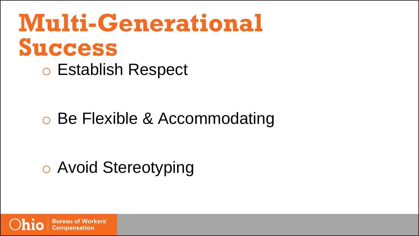## **Multi-Generational Success**

o Establish Respect

#### o Be Flexible & Accommodating

#### o Avoid Stereotyping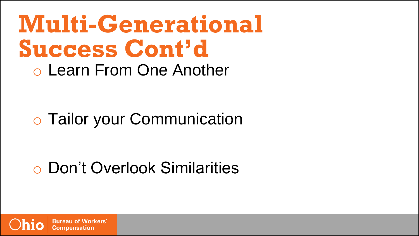### **Multi-Generational Success Cont'd** o Learn From One Another

#### o Tailor your Communication

#### o Don't Overlook Similarities

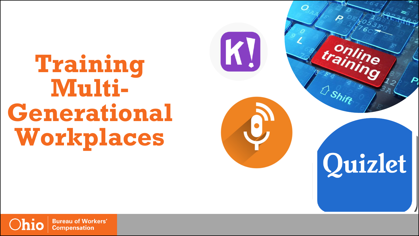### **Training Multi-Generational Workplaces**



 $\boldsymbol{\varphi}$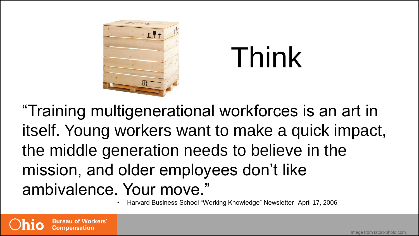



"Training multigenerational workforces is an art in itself. Young workers want to make a quick impact, the middle generation needs to believe in the mission, and older employees don't like ambivalence. Your move."

• Harvard Business School "Working Knowledge" Newsletter -April 17, 2006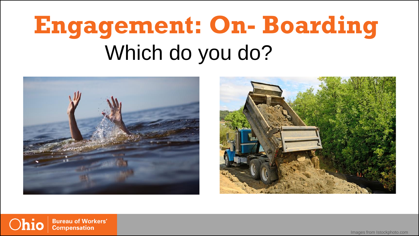### **Engagement: On- Boarding** Which do you do?





Ohio **Bureau of Workers' Compensation** 

Images from Istockphoto.com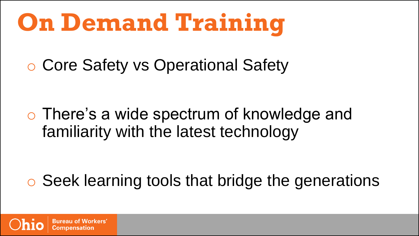## **On Demand Training**

o Core Safety vs Operational Safety

o There's a wide spectrum of knowledge and familiarity with the latest technology

o Seek learning tools that bridge the generations

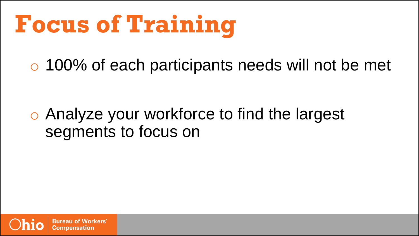## **Focus of Training**

o 100% of each participants needs will not be met

#### o Analyze your workforce to find the largest segments to focus on

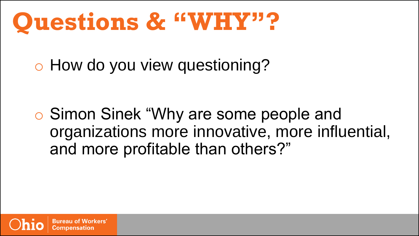### **Questions & "WHY"?**

o How do you view questioning?

o Simon Sinek "Why are some people and organizations more innovative, more influential, and more profitable than others?"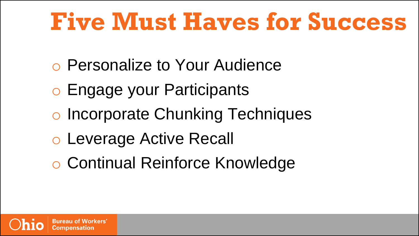## **Five Must Haves for Success**

- o Personalize to Your Audience
- o Engage your Participants
- o Incorporate Chunking Techniques
- o Leverage Active Recall
- o Continual Reinforce Knowledge

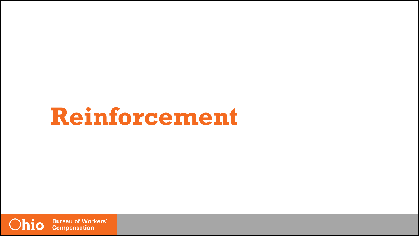### **Reinforcement**

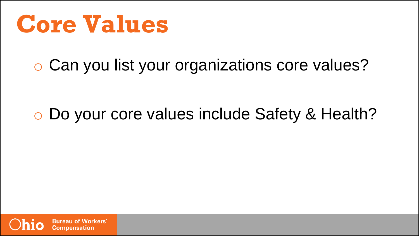**Core Values**

o Can you list your organizations core values?

#### o Do your core values include Safety & Health?

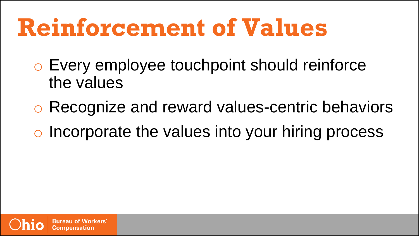### **Reinforcement of Values**

- o Every employee touchpoint should reinforce the values
- o Recognize and reward values-centric behaviors
- o Incorporate the values into your hiring process

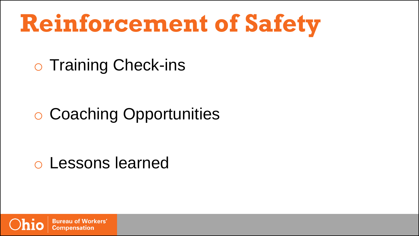## **Reinforcement of Safety**

o Training Check-ins

#### o Coaching Opportunities

#### o Lessons learned

**Workers'** Bureau of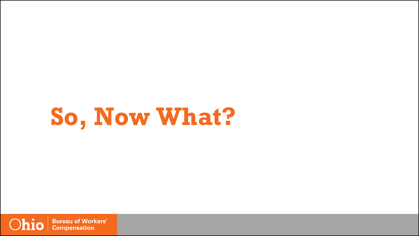## **So, Now What?**

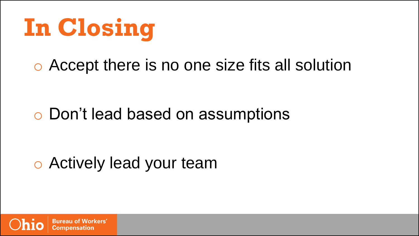

#### o Accept there is no one size fits all solution

#### o Don't lead based on assumptions

#### o Actively lead your team

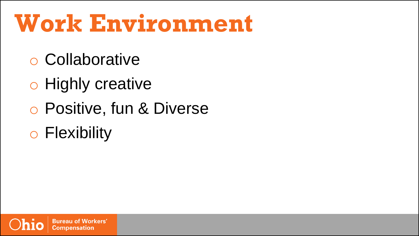### **Work Environment**

- o Collaborative
- o Highly creative
- o Positive, fun & Diverse
- o Flexibility